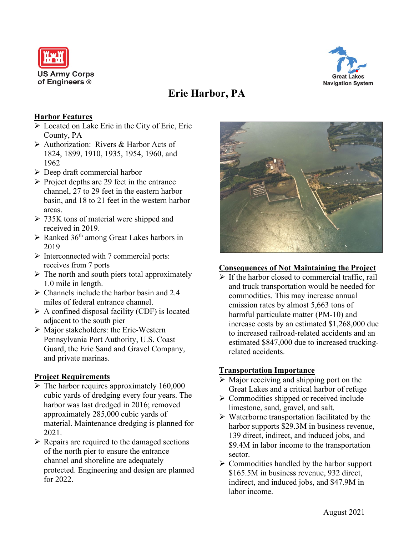



# **Erie Harbor, PA**

### **Harbor Features**

- $\triangleright$  Located on Lake Erie in the City of Erie, Erie County, PA
- Authorization: Rivers & Harbor Acts of 1824, 1899, 1910, 1935, 1954, 1960, and 1962
- $\triangleright$  Deep draft commercial harbor
- $\triangleright$  Project depths are 29 feet in the entrance channel, 27 to 29 feet in the eastern harbor basin, and 18 to 21 feet in the western harbor areas.
- $\geq$  735K tons of material were shipped and received in 2019.
- $\triangleright$  Ranked 36<sup>th</sup> among Great Lakes harbors in 2019
- $\triangleright$  Interconnected with 7 commercial ports: receives from 7 ports
- $\triangleright$  The north and south piers total approximately 1.0 mile in length.
- $\triangleright$  Channels include the harbor basin and 2.4 miles of federal entrance channel.
- $\triangleright$  A confined disposal facility (CDF) is located adjacent to the south pier
- $\triangleright$  Major stakeholders: the Erie-Western Pennsylvania Port Authority, U.S. Coast Guard, the Erie Sand and Gravel Company, and private marinas.

#### **Project Requirements**

- $\triangleright$  The harbor requires approximately 160,000 cubic yards of dredging every four years. The harbor was last dredged in 2016; removed approximately 285,000 cubic yards of material. Maintenance dredging is planned for 2021.
- $\triangleright$  Repairs are required to the damaged sections of the north pier to ensure the entrance channel and shoreline are adequately protected. Engineering and design are planned for 2022.



#### **Consequences of Not Maintaining the Project**

 $\triangleright$  If the harbor closed to commercial traffic, rail and truck transportation would be needed for commodities. This may increase annual emission rates by almost 5,663 tons of harmful particulate matter (PM-10) and increase costs by an estimated \$1,268,000 due to increased railroad-related accidents and an estimated \$847,000 due to increased truckingrelated accidents.

#### **Transportation Importance**

- $\triangleright$  Major receiving and shipping port on the Great Lakes and a critical harbor of refuge
- $\triangleright$  Commodities shipped or received include limestone, sand, gravel, and salt.
- $\triangleright$  Waterborne transportation facilitated by the harbor supports \$29.3M in business revenue, 139 direct, indirect, and induced jobs, and \$9.4M in labor income to the transportation sector.
- $\triangleright$  Commodities handled by the harbor support \$165.5M in business revenue, 932 direct, indirect, and induced jobs, and \$47.9M in labor income.